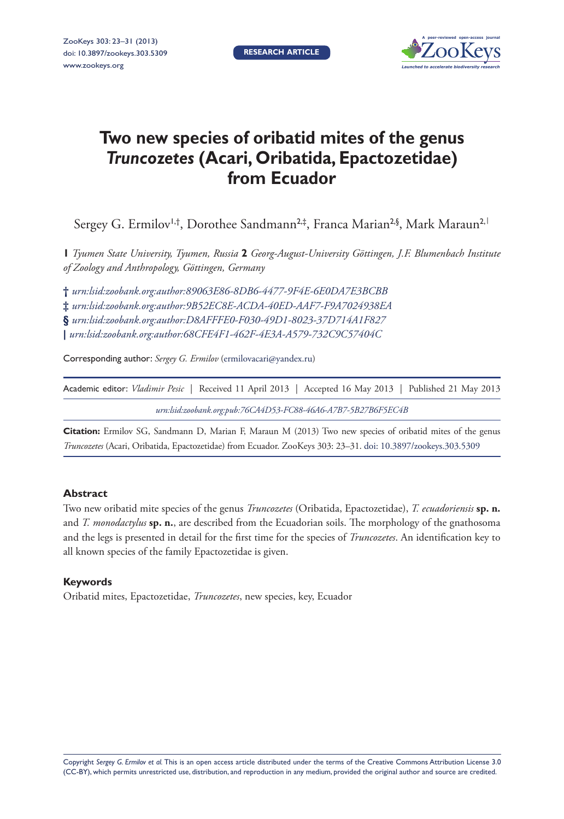**Research article**



# **Two new species of oribatid mites of the genus**  *Truncozetes* **(Acari, Oribatida, Epactozetidae) from Ecuador**

Sergey G. Ermilov<sup>1,†</sup>, Dorothee Sandmann<sup>2,‡</sup>, Franca Marian<sup>2,§</sup>, Mark Maraun<sup>2,|</sup>

**1** *Tyumen State University, Tyumen, Russia* **2** *Georg-August-University Göttingen, J.F. Blumenbach Institute of Zoology and Anthropology, Göttingen, Germany*

**†** *[urn:lsid:zoobank.org:author:89063E86-8DB6-4477-9F4E-6E0DA7E3BCBB](http://zoobank.org/?lsid=urn:lsid:zoobank.org:author:89063E86-8DB6-4477-9F4E-6E0DA7E3BCBB)* **‡** *[urn:lsid:zoobank.org:author:9B52EC8E-ACDA-40ED-AAF7-F9A7024938EA](http://zoobank.org/?lsid=urn:lsid:zoobank.org:author:9B52EC8E-ACDA-40ED-AAF7-F9A7024938EA)* **§** *[urn:lsid:zoobank.org:author:D8AFFFE0-F030-49D1-8023-37D714A1F827](http://zoobank.org/?lsid=urn:lsid:zoobank.org:author:D8AFFFE0-F030-49D1-8023-37D714A1F827)* **|** *[urn:lsid:zoobank.org:author:68CFE4F1-462F-4E3A-A579-732C9C57404C](http://zoobank.org/?lsid=urn:lsid:zoobank.org:author:68CFE4F1-462F-4E3A-A579-732C9C57404C)*

Corresponding author: *Sergey G. Ermilov* ([ermilovacari@yandex.ru](mailto:ermilovacari@yandex.ru))

Academic editor: *Vladimir Pesic* | Received 11 April 2013 | Accepted 16 May 2013 | Published 21 May 2013 *[urn:lsid:zoobank.org:pub:76CA4D53-FC88-46A6-A7B7-5B27B6F5EC4B](http://zoobank.org/?lsid=urn:lsid:zoobank.org:pub:76CA4D53-FC88-46A6-A7B7-5B27B6F5EC4B)*

**Citation:** Ermilov SG, Sandmann D, Marian F, Maraun M (2013) Two new species of oribatid mites of the genus *Truncozetes* (Acari, Oribatida, Epactozetidae) from Ecuador. ZooKeys 303: 23–31. [doi: 10.3897/zookeys.303.5309](http://dx.doi.org/10.3897/zookeys.303.5309)

#### **Abstract**

Two new oribatid mite species of the genus *Truncozetes* (Oribatida, Epactozetidae), *T. ecuadoriensis* **sp. n.**  and *T. monodactylus* **sp. n.**, are described from the Ecuadorian soils. The morphology of the gnathosoma and the legs is presented in detail for the first time for the species of *Truncozetes*. An identification key to all known species of the family Epactozetidae is given.

#### **Keywords**

Oribatid mites, Epactozetidae, *Truncozetes*, new species, key, Ecuador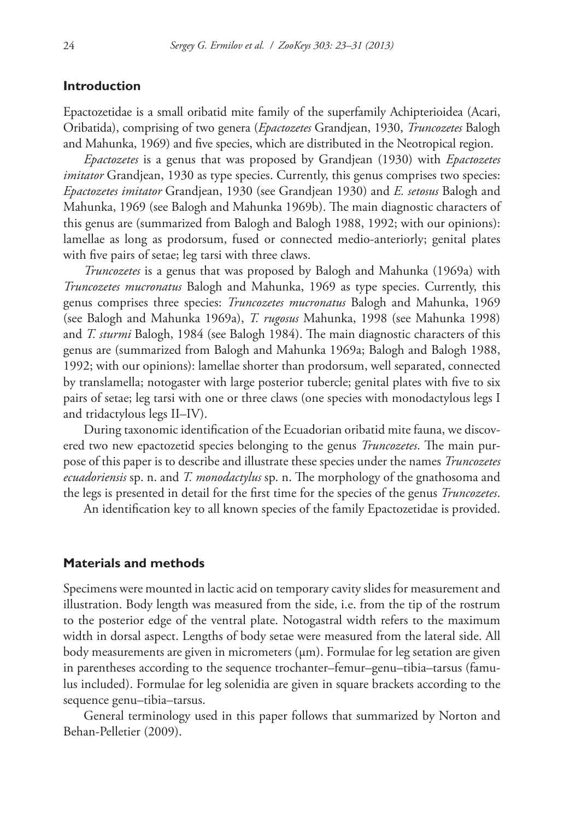## **Introduction**

Epactozetidae is a small oribatid mite family of the superfamily Achipterioidea (Acari, Oribatida), comprising of two genera (*Epactozetes* Grandjean, 1930, *Truncozetes* Balogh and Mahunka, 1969) and five species, which are distributed in the Neotropical region.

*Epactozetes* is a genus that was proposed by Grandjean (1930) with *Epactozetes imitator* Grandjean, 1930 as type species. Currently, this genus comprises two species: *Epactozetes imitator* Grandjean, 1930 (see Grandjean 1930) and *E. setosus* Balogh and Mahunka, 1969 (see Balogh and Mahunka 1969b). The main diagnostic characters of this genus are (summarized from Balogh and Balogh 1988, 1992; with our opinions): lamellae as long as prodorsum, fused or connected medio-anteriorly; genital plates with five pairs of setae; leg tarsi with three claws.

*Truncozetes* is a genus that was proposed by Balogh and Mahunka (1969a) with *Truncozetes mucronatus* Balogh and Mahunka, 1969 as type species. Currently, this genus comprises three species: *Truncozetes mucronatus* Balogh and Mahunka, 1969 (see Balogh and Mahunka 1969a), *T. rugosus* Mahunka, 1998 (see Mahunka 1998) and *T. sturmi* Balogh, 1984 (see Balogh 1984). The main diagnostic characters of this genus are (summarized from Balogh and Mahunka 1969a; Balogh and Balogh 1988, 1992; with our opinions): lamellae shorter than prodorsum, well separated, connected by translamella; notogaster with large posterior tubercle; genital plates with five to six pairs of setae; leg tarsi with one or three claws (one species with monodactylous legs I and tridactylous legs II–IV).

During taxonomic identification of the Ecuadorian oribatid mite fauna, we discovered two new epactozetid species belonging to the genus *Truncozetes*. The main purpose of this paper is to describe and illustrate these species under the names *Truncozetes ecuadoriensis* sp. n. and *T. monodactylus* sp. n. The morphology of the gnathosoma and the legs is presented in detail for the first time for the species of the genus *Truncozetes*.

An identification key to all known species of the family Epactozetidae is provided.

#### **Materials and methods**

Specimens were mounted in lactic acid on temporary cavity slides for measurement and illustration. Body length was measured from the side, i.e. from the tip of the rostrum to the posterior edge of the ventral plate. Notogastral width refers to the maximum width in dorsal aspect. Lengths of body setae were measured from the lateral side. All body measurements are given in micrometers (μm). Formulae for leg setation are given in parentheses according to the sequence trochanter–femur–genu–tibia–tarsus (famulus included). Formulae for leg solenidia are given in square brackets according to the sequence genu–tibia–tarsus.

General terminology used in this paper follows that summarized by Norton and Behan-Pelletier (2009).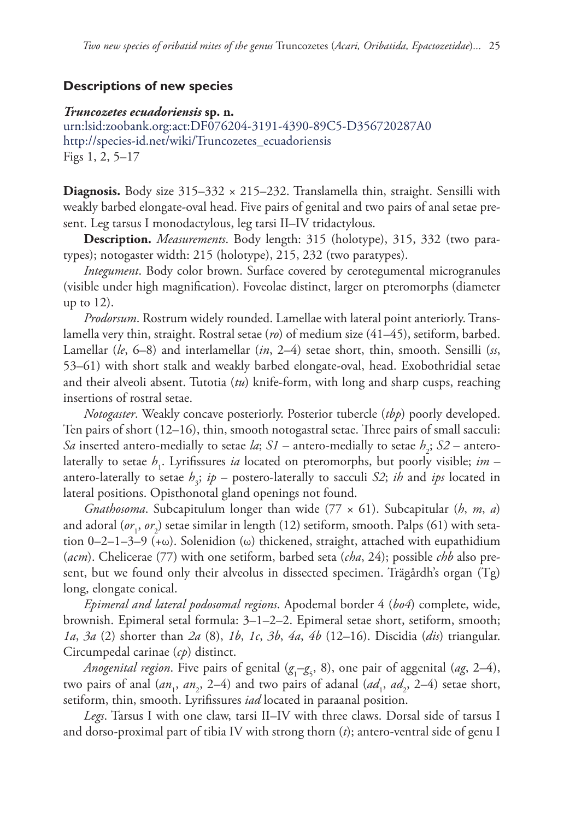# **Descriptions of new species**

#### *Truncozetes ecuadoriensis* **sp. n.**

[urn:lsid:zoobank.org:act:DF076204-3191-4390-89C5-D356720287A0](http://zoobank.org/?lsid=urn:lsid:zoobank.org:act:DF076204-3191-4390-89C5-D356720287A0) [http://species-id.net/wiki/Truncozetes\\_ecuadoriensis](http://species-id.net/wiki/Truncozetes_ecuadoriensis) Figs 1, 2, 5–17

**Diagnosis.** Body size 315–332 × 215–232. Translamella thin, straight. Sensilli with weakly barbed elongate-oval head. Five pairs of genital and two pairs of anal setae present. Leg tarsus I monodactylous, leg tarsi II–IV tridactylous.

**Description.** *Measurements*. Body length: 315 (holotype), 315, 332 (two paratypes); notogaster width: 215 (holotype), 215, 232 (two paratypes).

*Integument*. Body color brown. Surface covered by cerotegumental microgranules (visible under high magnification). Foveolae distinct, larger on pteromorphs (diameter up to 12).

*Prodorsum*. Rostrum widely rounded. Lamellae with lateral point anteriorly. Translamella very thin, straight. Rostral setae (*ro*) of medium size (41–45), setiform, barbed. Lamellar (*le*, 6–8) and interlamellar (*in*, 2–4) setae short, thin, smooth. Sensilli (*ss*, 53–61) with short stalk and weakly barbed elongate-oval, head. Exobothridial setae and their alveoli absent. Tutotia (*tu*) knife-form, with long and sharp cusps, reaching insertions of rostral setae.

*Notogaster*. Weakly concave posteriorly. Posterior tubercle (*tbp*) poorly developed. Ten pairs of short (12–16), thin, smooth notogastral setae. Three pairs of small sacculi: *Sa* inserted antero-medially to setae *la*; *S1* – antero-medially to setae  $h_2$ ; *S2* – anterolaterally to setae  $h_1$ . Lyrifissures *ia* located on pteromorphs, but poorly visible; *im* – antero-laterally to setae  $h_3$ ;  $ip$  – postero-laterally to sacculi *S2*; *ih* and *ips* located in lateral positions. Opisthonotal gland openings not found.

*Gnathosoma*. Subcapitulum longer than wide (77 × 61). Subcapitular (*h*, *m*, *a*) and adoral (*or*<sub>1</sub>, *or*<sub>2</sub>) setae similar in length (12) setiform, smooth. Palps (61) with setation 0–2–1–3–9 (+ω). Solenidion (ω) thickened, straight, attached with eupathidium (*acm*). Chelicerae (77) with one setiform, barbed seta (*cha*, 24); possible *chb* also present, but we found only their alveolus in dissected specimen. Trägårdh's organ (Tg) long, elongate conical.

*Epimeral and lateral podosomal regions*. Apodemal border 4 (*bo4*) complete, wide, brownish. Epimeral setal formula: 3–1–2–2. Epimeral setae short, setiform, smooth; *1a*, *3a* (2) shorter than *2a* (8), *1b*, *1c*, *3b*, *4a*, *4b* (12–16). Discidia (*dis*) triangular. Circumpedal carinae (*cp*) distinct.

*Anogenital region*. Five pairs of genital (*g*<sup>1</sup> –*g*5 , 8), one pair of aggenital (*ag*, 2–4), two pairs of anal  $(an_1, an_2, 2-4)$  and two pairs of adanal  $(ad_1, ad_2, 2-4)$  setae short, setiform, thin, smooth. Lyrifissures *iad* located in paraanal position.

*Legs*. Tarsus I with one claw, tarsi II–IV with three claws. Dorsal side of tarsus I and dorso-proximal part of tibia IV with strong thorn (*t*); antero-ventral side of genu I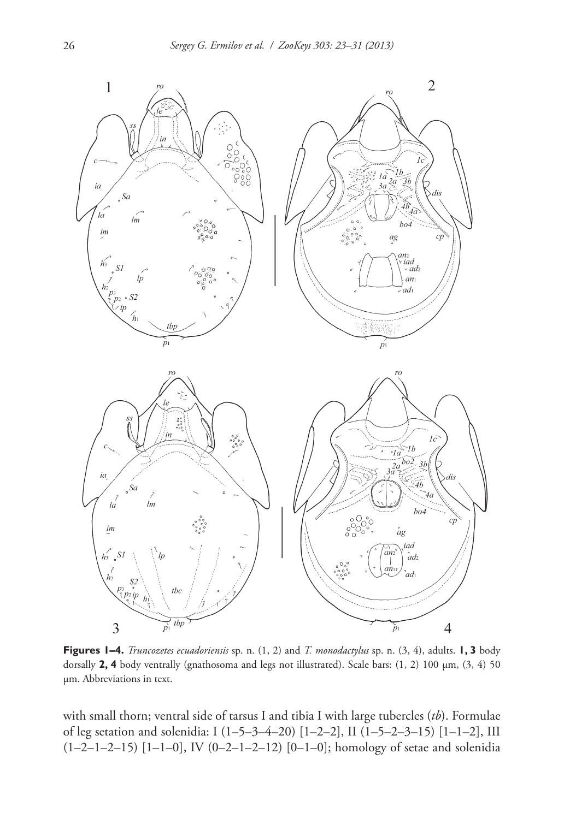

**Figures 1–4.** *Truncozetes ecuadoriensis* sp. n. (1, 2) and *T. monodactylus* sp. n. (3, 4), adults. **1, 3** body dorsally **2, 4** body ventrally (gnathosoma and legs not illustrated). Scale bars: (1, 2) 100 μm, (3, 4) 50 μm. Abbreviations in text.

with small thorn; ventral side of tarsus I and tibia I with large tubercles (*tb*). Formulae of leg setation and solenidia: I (1–5–3–4–20) [1–2–2], II (1–5–2–3–15) [1–1–2], III (1–2–1–2–15) [1–1–0], IV (0–2–1–2–12) [0–1–0]; homology of setae and solenidia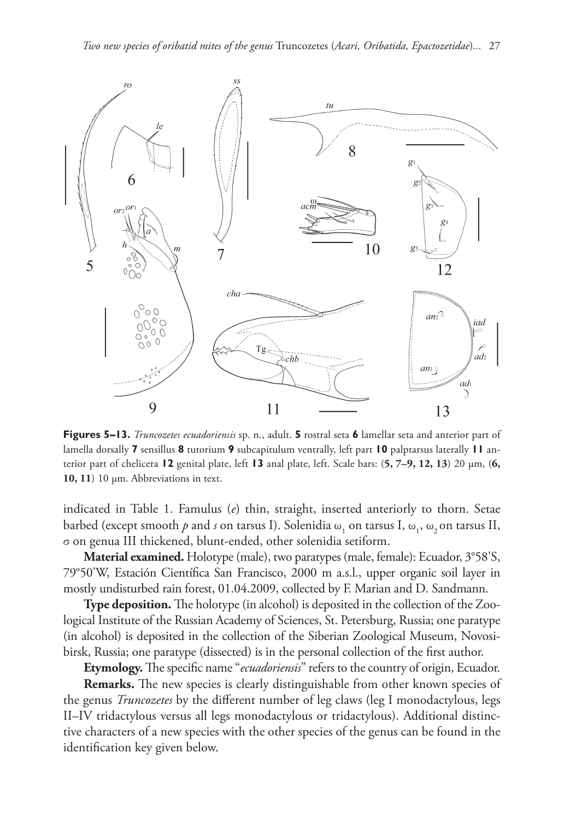

**Figures 5–13.** *Truncozetes ecuadoriensis* sp. n., adult. **5** rostral seta **6** lamellar seta and anterior part of lamella dorsally **7** sensillus **8** tutorium **9** subcapitulum ventrally, left part **10** palptarsus laterally **11** anterior part of chelicera **12** genital plate, left **13** anal plate, left. Scale bars: (**5, 7–9, 12, 13**) 20 μm, (**6, 10, 11**) 10 μm. Abbreviations in text.

indicated in Table 1. Famulus (*e*) thin, straight, inserted anteriorly to thorn. Setae barbed (except smooth  $p$  and  $s$  on tarsus I). Solenidia  $\omega_1$  on tarsus I,  $\omega_1$ ,  $\omega_2$  on tarsus II, σ on genua III thickened, blunt-ended, other solenidia setiform.

**Material examined.** Holotype (male), two paratypes (male, female): Ecuador, 3°58'S, 79°50'W, Estación Científica San Francisco, 2000 m a.s.l., upper organic soil layer in mostly undisturbed rain forest, 01.04.2009, collected by F. Marian and D. Sandmann.

**Type deposition.** The holotype (in alcohol) is deposited in the collection of the Zoological Institute of the Russian Academy of Sciences, St. Petersburg, Russia; one paratype (in alcohol) is deposited in the collection of the [Siberian Zoological Museum,](http://szmn.eco.nsc.ru/index.html) Novosibirsk, Russia; one paratype (dissected) is in the personal collection of the first author.

**Etymology.** The specific name "*ecuadoriensis*" refers to the country of origin, Ecuador.

**Remarks.** The new species is clearly distinguishable from other known species of the genus *Truncozetes* by the different number of leg claws (leg I monodactylous, legs II–IV tridactylous versus all legs monodactylous or tridactylous). Additional distinctive characters of a new species with the other species of the genus can be found in the identification key given below.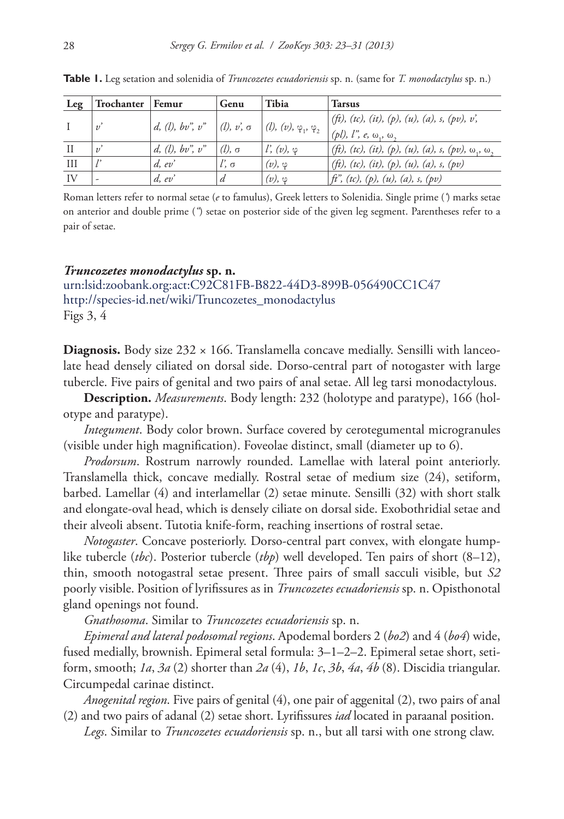| Leg | Trochanter   Femur |                 | Genu               | Tibia                            | <b>Tarsus</b>                                                     |
|-----|--------------------|-----------------|--------------------|----------------------------------|-------------------------------------------------------------------|
|     | $v^{\prime}$       | d, (l), bv, v'' | $  (l), v, \sigma$ | $(1, (v), \varphi_1, \varphi_2)$ | (ft), (tc), (it), (p), (u), (a), s, (pv), v',                     |
|     |                    |                 |                    |                                  | $(pl)$ , $l^{\prime\prime}$ , $e, \omega_{1}, \omega_{2}$         |
| - H | $v^{\prime}$       | d, (l), bv, v'' | $(l)$ , $\sigma$   | $l'$ , $(v)$ , $\varphi$         | (ft), (tc), (it), (p), (u), (a), s, (pv), $\omega_1$ , $\omega_2$ |
| Ш   |                    | d, ev'          | $l, \sigma$        | $(v), \varphi$                   | (ft), (tc), (it), (p), (u), (a), s, (pv)                          |
| IV  |                    | d, ev'          | d                  | $(v), \varphi$                   | $f^2$ , (tc), (p), (u), (a), s, (pv)                              |

**Table 1.** Leg setation and solenidia of *Truncozetes ecuadoriensis* sp. n. (same for *T. monodactylus* sp. n.)

Roman letters refer to normal setae (*e* to famulus), Greek letters to Solenidia. Single prime (*'*) marks setae on anterior and double prime (*"*) setae on posterior side of the given leg segment. Parentheses refer to a pair of setae.

#### *Truncozetes monodactylus* **sp. n.**

[urn:lsid:zoobank.org:act:C92C81FB-B822-44D3-899B-056490CC1C47](http://zoobank.org/?lsid=urn:lsid:zoobank.org:act:C92C81FB-B822-44D3-899B-056490CC1C47) [http://species-id.net/wiki/Truncozetes\\_monodactylus](http://species-id.net/wiki/Truncozetes_monodactylus) Figs 3, 4

**Diagnosis.** Body size  $232 \times 166$ . Translamella concave medially. Sensilli with lanceolate head densely ciliated on dorsal side. Dorso-central part of notogaster with large tubercle. Five pairs of genital and two pairs of anal setae. All leg tarsi monodactylous.

**Description.** *Measurements*. Body length: 232 (holotype and paratype), 166 (holotype and paratype).

*Integument*. Body color brown. Surface covered by cerotegumental microgranules (visible under high magnification). Foveolae distinct, small (diameter up to 6).

*Prodorsum*. Rostrum narrowly rounded. Lamellae with lateral point anteriorly. Translamella thick, concave medially. Rostral setae of medium size (24), setiform, barbed. Lamellar (4) and interlamellar (2) setae minute. Sensilli (32) with short stalk and elongate-oval head, which is densely ciliate on dorsal side. Exobothridial setae and their alveoli absent. Tutotia knife-form, reaching insertions of rostral setae.

*Notogaster*. Concave posteriorly. Dorso-central part convex, with elongate humplike tubercle (*tbc*). Posterior tubercle (*tbp*) well developed. Ten pairs of short (8–12), thin, smooth notogastral setae present. Three pairs of small sacculi visible, but *S2*  poorly visible. Position of lyrifissures as in *Truncozetes ecuadoriensis* sp. n. Opisthonotal gland openings not found.

*Gnathosoma*. Similar to *Truncozetes ecuadoriensis* sp. n.

*Epimeral and lateral podosomal regions*. Apodemal borders 2 (*bo2*) and 4 (*bo4*) wide, fused medially, brownish. Epimeral setal formula: 3–1–2–2. Epimeral setae short, setiform, smooth; *1a*, *3a* (2) shorter than *2a* (4), *1b*, *1c*, *3b*, *4a*, *4b* (8). Discidia triangular. Circumpedal carinae distinct.

*Anogenital region*. Five pairs of genital (4), one pair of aggenital (2), two pairs of anal (2) and two pairs of adanal (2) setae short. Lyrifissures *iad* located in paraanal position.

*Legs*. Similar to *Truncozetes ecuadoriensis* sp. n., but all tarsi with one strong claw.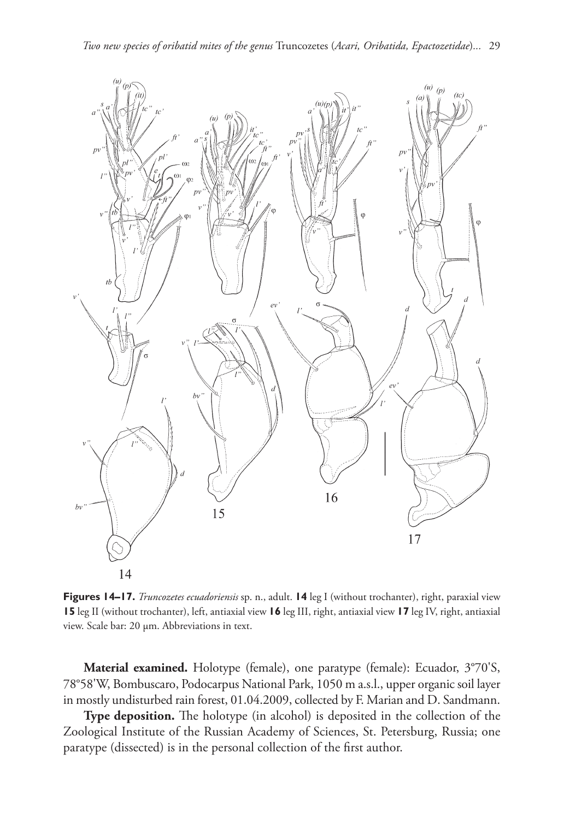

**Figures 14–17.** *Truncozetes ecuadoriensis* sp. n., adult. **14** leg I (without trochanter), right, paraxial view **15** leg II (without trochanter), left, antiaxial view **16** leg III, right, antiaxial view **17** leg IV, right, antiaxial view. Scale bar: 20 μm. Abbreviations in text.

**Material examined.** Holotype (female), one paratype (female): Ecuador, 3°70'S, 78°58'W, Bombuscaro, Podocarpus National Park, 1050 m a.s.l., upper organic soil layer in mostly undisturbed rain forest, 01.04.2009, collected by F. Marian and D. Sandmann.

**Type deposition.** The holotype (in alcohol) is deposited in the collection of the Zoological Institute of the Russian Academy of Sciences, St. Petersburg, Russia; one paratype (dissected) is in the personal collection of the first author.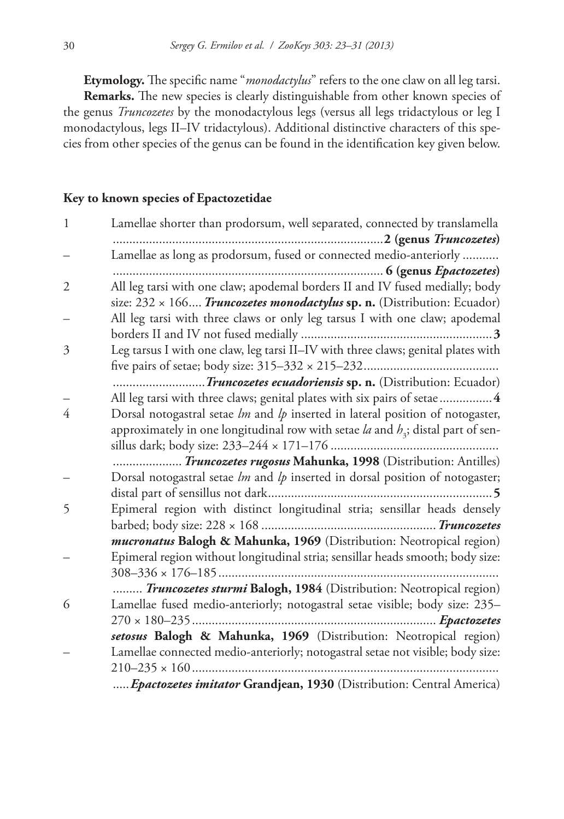**Etymology.** The specific name "*monodactylus*" refers to the one claw on all leg tarsi.

**Remarks.** The new species is clearly distinguishable from other known species of the genus *Truncozetes* by the monodactylous legs (versus all legs tridactylous or leg I monodactylous, legs II–IV tridactylous). Additional distinctive characters of this species from other species of the genus can be found in the identification key given below.

## **Key to known species of Epactozetidae**

| $\mathbf{1}$ | Lamellae shorter than prodorsum, well separated, connected by translamella         |  |  |  |  |
|--------------|------------------------------------------------------------------------------------|--|--|--|--|
|              |                                                                                    |  |  |  |  |
|              | Lamellae as long as prodorsum, fused or connected medio-anteriorly                 |  |  |  |  |
|              |                                                                                    |  |  |  |  |
| 2            | All leg tarsi with one claw; apodemal borders II and IV fused medially; body       |  |  |  |  |
|              | size: 232 x 166 <i>Truncozetes monodactylus</i> sp. n. (Distribution: Ecuador)     |  |  |  |  |
|              | All leg tarsi with three claws or only leg tarsus I with one claw; apodemal        |  |  |  |  |
|              |                                                                                    |  |  |  |  |
| 3            | Leg tarsus I with one claw, leg tarsi II-IV with three claws; genital plates with  |  |  |  |  |
|              |                                                                                    |  |  |  |  |
|              | Truncozetes ecuadoriensis sp. n. (Distribution: Ecuador)                           |  |  |  |  |
|              | All leg tarsi with three claws; genital plates with six pairs of setae4            |  |  |  |  |
| 4            | Dorsal notogastral setae $lm$ and $lp$ inserted in lateral position of notogaster, |  |  |  |  |
|              | approximately in one longitudinal row with setae la and $h3$ ; distal part of sen- |  |  |  |  |
|              |                                                                                    |  |  |  |  |
|              | Truncozetes rugosus Mahunka, 1998 (Distribution: Antilles)                         |  |  |  |  |
|              | Dorsal notogastral setae $lm$ and $lp$ inserted in dorsal position of notogaster;  |  |  |  |  |
|              |                                                                                    |  |  |  |  |
| 5            | Epimeral region with distinct longitudinal stria; sensillar heads densely          |  |  |  |  |
|              |                                                                                    |  |  |  |  |
|              | mucronatus Balogh & Mahunka, 1969 (Distribution: Neotropical region)               |  |  |  |  |
|              | Epimeral region without longitudinal stria; sensillar heads smooth; body size:     |  |  |  |  |
|              |                                                                                    |  |  |  |  |
|              | Truncozetes sturmi Balogh, 1984 (Distribution: Neotropical region)                 |  |  |  |  |
| 6            | Lamellae fused medio-anteriorly; notogastral setae visible; body size: 235-        |  |  |  |  |
|              |                                                                                    |  |  |  |  |
|              | setosus Balogh & Mahunka, 1969 (Distribution: Neotropical region)                  |  |  |  |  |
|              | Lamellae connected medio-anteriorly; notogastral setae not visible; body size:     |  |  |  |  |
|              |                                                                                    |  |  |  |  |
|              | Epactozetes imitator Grandjean, 1930 (Distribution: Central America)               |  |  |  |  |
|              |                                                                                    |  |  |  |  |